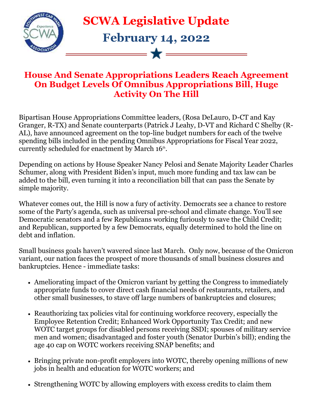

**SCWA Legislative Update**

## **February 14, 2022**

- W -

## **House And Senate Appropriations Leaders Reach Agreement On Budget Levels Of Omnibus Appropriations Bill, Huge Activity On The Hill**

Bipartisan House Appropriations Committee leaders, (Rosa DeLauro, D-CT and Kay Granger, R-TX) and Senate counterparts (Patrick J Leahy, D-VT and Richard C Shelby (R-AL), have announced agreement on the top-line budget numbers for each of the twelve spending bills included in the pending Omnibus Appropriations for Fiscal Year 2022, currently scheduled for enactment by March  $16<sup>th</sup>$ .

Depending on actions by House Speaker Nancy Pelosi and Senate Majority Leader Charles Schumer, along with President Biden's input, much more funding and tax law can be added to the bill, even turning it into a reconciliation bill that can pass the Senate by simple majority.

Whatever comes out, the Hill is now a fury of activity. Democrats see a chance to restore some of the Party's agenda, such as universal pre-school and climate change. You'll see Democratic senators and a few Republicans working furiously to save the Child Credit; and Republican, supported by a few Democrats, equally determined to hold the line on debt and inflation.

Small business goals haven't wavered since last March. Only now, because of the Omicron variant, our nation faces the prospect of more thousands of small business closures and bankruptcies. Hence - immediate tasks:

- Ameliorating impact of the Omicron variant by getting the Congress to immediately appropriate funds to cover direct cash financial needs of restaurants, retailers, and other small businesses, to stave off large numbers of bankruptcies and closures;
- Reauthorizing tax policies vital for continuing workforce recovery, especially the Employee Retention Credit; Enhanced Work Opportunity Tax Credit; and new WOTC target groups for disabled persons receiving SSDI; spouses of military service men and women; disadvantaged and foster youth (Senator Durbin's bill); ending the age 40 cap on WOTC workers receiving SNAP benefits; and
- Bringing private non-profit employers into WOTC, thereby opening millions of new jobs in health and education for WOTC workers; and
- Strengthening WOTC by allowing employers with excess credits to claim them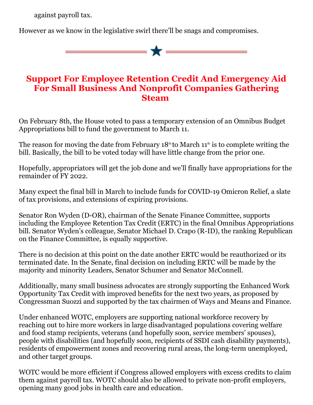against payroll tax.

However as we know in the legislative swirl there'll be snags and compromises.

## **Support For Employee Retention Credit And Emergency Aid For Small Business And Nonprofit Companies Gathering Steam**

On February 8th, the House voted to pass a temporary extension of an Omnibus Budget Appropriations bill to fund the government to March 11.

The reason for moving the date from February  $18<sup>th</sup>$  to March  $11<sup>th</sup>$  is to complete writing the bill. Basically, the bill to be voted today will have little change from the prior one.

Hopefully, appropriators will get the job done and we'll finally have appropriations for the remainder of FY 2022.

Many expect the final bill in March to include funds for COVID-19 Omicron Relief, a slate of tax provisions, and extensions of expiring provisions.

Senator Ron Wyden (D-OR), chairman of the Senate Finance Committee, supports including the Employee Retention Tax Credit (ERTC) in the final Omnibus Appropriations bill. Senator Wyden's colleague, Senator Michael D. Crapo (R-ID), the ranking Republican on the Finance Committee, is equally supportive.

There is no decision at this point on the date another ERTC would be reauthorized or its terminated date. In the Senate, final decision on including ERTC will be made by the majority and minority Leaders, Senator Schumer and Senator McConnell.

Additionally, many small business advocates are strongly supporting the Enhanced Work Opportunity Tax Credit with improved benefits for the next two years, as proposed by Congressman Suozzi and supported by the tax chairmen of Ways and Means and Finance.

Under enhanced WOTC, employers are supporting national workforce recovery by reaching out to hire more workers in large disadvantaged populations covering welfare and food stamp recipients, veterans (and hopefully soon, service members' spouses), people with disabilities (and hopefully soon, recipients of SSDI cash disability payments), residents of empowerment zones and recovering rural areas, the long-term unemployed, and other target groups.

WOTC would be more efficient if Congress allowed employers with excess credits to claim them against payroll tax. WOTC should also be allowed to private non-profit employers, opening many good jobs in health care and education.